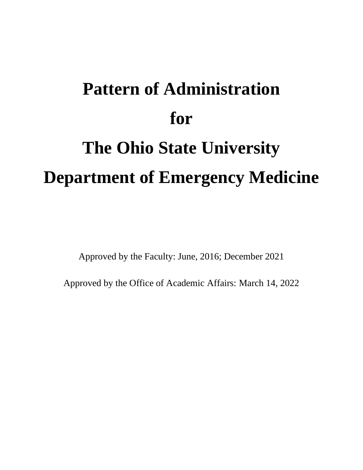# **Pattern of Administration for The Ohio State University Department of Emergency Medicine**

Approved by the Faculty: June, 2016; December 2021

Approved by the Office of Academic Affairs: March 14, 2022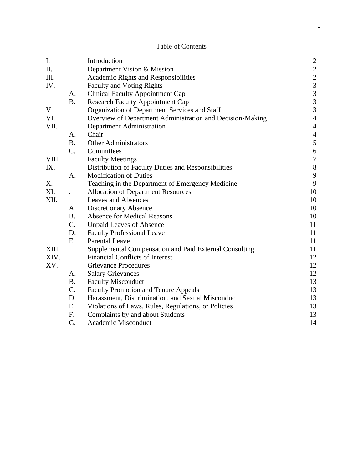# Table of Contents

| I.    |                | Introduction                                              | $\overline{c}$                                  |
|-------|----------------|-----------------------------------------------------------|-------------------------------------------------|
| II.   |                | Department Vision & Mission                               |                                                 |
| III.  |                | Academic Rights and Responsibilities                      |                                                 |
| IV.   |                | <b>Faculty and Voting Rights</b>                          |                                                 |
|       | A.             | <b>Clinical Faculty Appointment Cap</b>                   | $\begin{array}{c} 2 \\ 2 \\ 3 \\ 3 \end{array}$ |
|       | <b>B.</b>      | <b>Research Faculty Appointment Cap</b>                   | $\overline{3}$                                  |
| V.    |                | Organization of Department Services and Staff             | $\overline{3}$                                  |
| VI.   |                | Overview of Department Administration and Decision-Making | $\overline{4}$                                  |
| VII.  |                | Department Administration                                 | $\overline{4}$                                  |
|       | A.             | Chair                                                     | $\overline{4}$                                  |
|       | <b>B.</b>      | <b>Other Administrators</b>                               | 5                                               |
|       | $C_{\cdot}$    | Committees                                                | $\boldsymbol{6}$                                |
| VIII. |                | <b>Faculty Meetings</b>                                   | $\boldsymbol{7}$                                |
| IX.   |                | Distribution of Faculty Duties and Responsibilities       | $8\,$                                           |
|       | A.             | <b>Modification of Duties</b>                             | 9                                               |
| X.    |                | Teaching in the Department of Emergency Medicine          | 9                                               |
| XI.   |                | <b>Allocation of Department Resources</b>                 | 10                                              |
| XII.  |                | <b>Leaves and Absences</b>                                | 10                                              |
|       | A.             | <b>Discretionary Absence</b>                              | 10                                              |
|       | B <sub>1</sub> | <b>Absence for Medical Reasons</b>                        | 10                                              |
|       | C.             | <b>Unpaid Leaves of Absence</b>                           | 11                                              |
|       | D.             | <b>Faculty Professional Leave</b>                         | 11                                              |
|       | E.             | <b>Parental Leave</b>                                     | 11                                              |
| XIII. |                | Supplemental Compensation and Paid External Consulting    | 11                                              |
| XIV.  |                | <b>Financial Conflicts of Interest</b>                    | 12                                              |
| XV.   |                | <b>Grievance Procedures</b>                               | 12                                              |
|       | A.             | <b>Salary Grievances</b>                                  | 12                                              |
|       | <b>B.</b>      | <b>Faculty Misconduct</b>                                 | 13                                              |
|       | C.             | <b>Faculty Promotion and Tenure Appeals</b>               | 13                                              |
|       | D.             | Harassment, Discrimination, and Sexual Misconduct         | 13                                              |
|       | E.             | Violations of Laws, Rules, Regulations, or Policies       | 13                                              |
|       | F.             | Complaints by and about Students                          | 13                                              |
|       | G.             | Academic Misconduct                                       | 14                                              |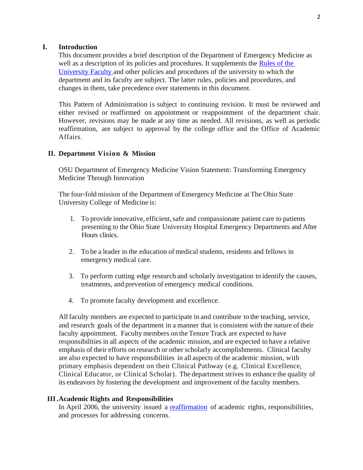# **I. Introduction**

This document provides a brief description of the Department of Emergency Medicine as well as a description of its policies and procedures. It supplements the [Rules of the](https://trustees.osu.edu/bylaws-and-rules/university-faculty-rules)  [University Faculty](https://trustees.osu.edu/bylaws-and-rules/university-faculty-rules) and other policies and procedures of the university to which the department and its faculty are subject. The latter rules, policies and procedures, and changes in them, take precedence over statements in this document.

This Pattern of Administration is subject to continuing revision. It must be reviewed and either revised or reaffirmed on appointment or reappointment of the department chair. However, revisions may be made at any time as needed. All revisions, as well as periodic reaffirmation, are subject to approval by the college office and the Office of Academic Affairs.

## **II. Department Vision & Mission**

OSU Department of Emergency Medicine Vision Statement: Transforming Emergency Medicine Through Innovation

The four-fold mission of the Department of Emergency Medicine at The Ohio State University College of Medicine is:

- 1. To provide innovative, efficient, safe and compassionate patient care to patients presenting to the Ohio State University Hospital Emergency Departments and After Hours clinics.
- 2. To be a leader in the education of medical students, residents and fellows in emergency medical care.
- 3. To perform cutting edge research and scholarly investigation to identify the causes, treatments, and prevention of emergency medical conditions.
- 4. To promote faculty development and excellence.

All faculty members are expected to participate in and contribute to the teaching, service, and research goals of the department in a manner that is consistent with the nature of their faculty appointment. Faculty members on theTenure Track are expected to have responsibilities in all aspects of the academic mission, and are expected to have a relative emphasis of their efforts on research or other scholarly accomplishments. Clinical faculty are also expected to have responsibilities in all aspects of the academic mission, with primary emphasis dependent on their Clinical Pathway (e.g. Clinical Excellence, Clinical Educator, or Clinical Scholar). The department strives to enhance the quality of its endeavors by fostering the development and improvement of the faculty members.

## **III.Academic Rights and Responsibilities**

In April 2006, the university issued a [reaffirmation](https://oaa.osu.edu/rightsandresponsibilities.html) of academic rights, responsibilities, and processes for addressing concerns.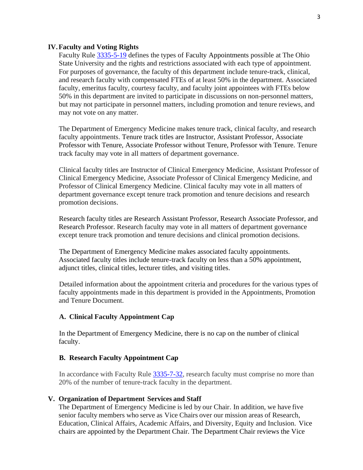## **IV.Faculty and Voting Rights**

Faculty Rule [3335-5-19](https://trustees.osu.edu/rules/university-rules/chapter-3335-5-faculty-governance-and-committees.html) defines the types of Faculty Appointments possible at The Ohio State University and the rights and restrictions associated with each type of appointment. For purposes of governance, the faculty of this department include tenure-track, clinical, and research faculty with compensated FTEs of at least 50% in the department. Associated faculty, emeritus faculty, courtesy faculty, and faculty joint appointees with FTEs below 50% in this department are invited to participate in discussions on non-personnel matters, but may not participate in personnel matters, including promotion and tenure reviews, and may not vote on any matter.

The Department of Emergency Medicine makes tenure track, clinical faculty, and research faculty appointments. Tenure track titles are Instructor, Assistant Professor, Associate Professor with Tenure, Associate Professor without Tenure, Professor with Tenure. Tenure track faculty may vote in all matters of department governance.

Clinical faculty titles are Instructor of Clinical Emergency Medicine, Assistant Professor of Clinical Emergency Medicine, Associate Professor of Clinical Emergency Medicine, and Professor of Clinical Emergency Medicine. Clinical faculty may vote in all matters of department governance except tenure track promotion and tenure decisions and research promotion decisions.

Research faculty titles are Research Assistant Professor, Research Associate Professor, and Research Professor. Research faculty may vote in all matters of department governance except tenure track promotion and tenure decisions and clinical promotion decisions.

The Department of Emergency Medicine makes associated faculty appointments. Associated faculty titles include tenure-track faculty on less than a 50% appointment, adjunct titles, clinical titles, lecturer titles, and visiting titles.

Detailed information about the appointment criteria and procedures for the various types of faculty appointments made in this department is provided in the Appointments, Promotion and Tenure Document.

# **A. Clinical Faculty Appointment Cap**

In the Department of Emergency Medicine, there is no cap on the number of clinical faculty.

## **B. Research Faculty Appointment Cap**

In accordance with Faculty Rule [3335-7-32,](https://trustees.osu.edu/university-faculty-rules/3335-7) research faculty must comprise no more than 20% of the number of tenure-track faculty in the department.

#### **V. Organization of Department Services and Staff**

The Department of Emergency Medicine is led by our Chair. In addition, we have five senior faculty members who serve as Vice Chairs over our mission areas of Research, Education, Clinical Affairs, Academic Affairs, and Diversity, Equity and Inclusion. Vice chairs are appointed by the Department Chair. The Department Chair reviews the Vice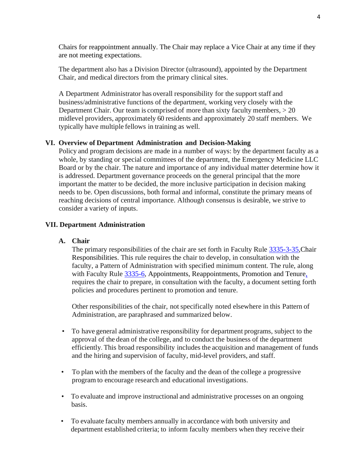Chairs for reappointment annually. The Chair may replace a Vice Chair at any time if they are not meeting expectations.

The department also has a Division Director (ultrasound), appointed by the Department Chair, and medical directors from the primary clinical sites.

A Department Administrator has overall responsibility for the support staff and business/administrative functions of the department, working very closely with the Department Chair. Our team is comprised of more than sixty faculty members,  $> 20$ midlevel providers, approximately 60 residents and approximately 20 staff members. We typically have multiple fellows in training as well.

# **VI. Overview of Department Administration and Decision-Making**

Policy and program decisions are made in a number of ways: by the department faculty as a whole, by standing or special committees of the department, the Emergency Medicine LLC Board or by the chair. The nature and importance of any individual matter determine how it is addressed. Department governance proceeds on the general principal that the more important the matter to be decided, the more inclusive participation in decision making needs to be. Open discussions, both formal and informal, constitute the primary means of reaching decisions of central importance. Although consensus is desirable, we strive to consider a variety of inputs.

## **VII. Department Administration**

# **A. Chair**

The primary responsibilities of the chair are set forth in Faculty Rule [3335-3-35,](https://trustees.osu.edu/rules/university-rules/chapter-3335-3-administration.html)Chair Responsibilitie[s. T](http://www.trustees.osu.edu/Chaplndexlindex.php)his rule requires the chair to develop, in consultation with the faculty, a Pattern of Administration with specified minimum content. The rule, along with Faculty Rule [3335-6,](https://trustees.osu.edu/rules/university-rules/chapter-3335-6-rules-of-the-university-faculty-concerning-faculty-appointments-reappointments-promotion-and-tenure.html) Appointments, Reappointments, Promotion and Tenure, requires the chair to prepare, in consultation with the faculty, a document setting forth policies and procedures pertinent to promotion and tenure.

Other responsibilities of the chair, not specifically noted elsewhere in this Pattern of Administration, are paraphrased and summarized below.

- To have general administrative responsibility for department programs, subject to the approval of the dean of the college, and to conduct the business of the department efficiently. This broad responsibility includes the acquisition and management of funds and the hiring and supervision of faculty, mid-level providers, and staff.
- To plan with the members of the faculty and the dean of the college a progressive program to encourage research and educational investigations.
- To evaluate and improve instructional and administrative processes on an ongoing basis.
- To evaluate faculty members annually in accordance with both university and department established criteria; to inform faculty members when they receive their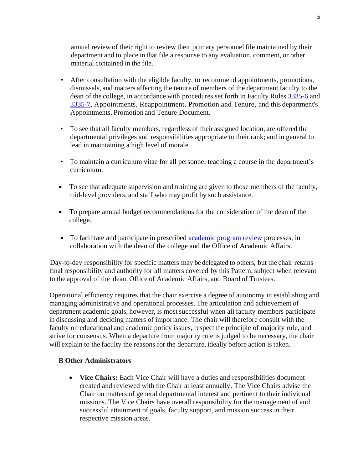annual review of their right to review their primary personnel file maintained by their department and to place in that file a response to any evaluation, comment, or other material contained in the file.

- After consultation with the eligible faculty, to recommend appointments, promotions, dismissals, and matters affecting the tenure of members of the department faculty to the dean of the college, in accordance with procedures set forth in Faculty Rules [3335-6](https://trustees.osu.edu/rules/university-rules/chapter-3335-6-rules-of-the-university-faculty-concerning-faculty-appointments-reappointments-promotion-and-tenure.html) and [3335-7,](https://trustees.osu.edu/university-faculty-rules/3335-7) Appointments, Reappointment, Promotion and Tenure, and this department's Appointments, Promotion and Tenure Document.
- To see that all faculty members, regardless of their assigned location, are offered the departmental privileges and responsibilities appropriate to their rank; and in general to lead in maintaining a high level of morale.
- To maintain a curriculum vitae for all personnel teaching a course in the department's curriculum.
- To see that adequate supervision and training are given to those members of the faculty, mid-level providers, and staff who may profit by such assistance.
- To prepare annual budget recommendations for the consideration of the dean of the college.
- To facilitate and participate in prescribed [academic program review](https://oaa.osu.edu/strategic-planning/academic-unit-review) processes, in collaboration with the dean of the college and the Office of Academic Affairs.

Day-to-day responsibility for specific matters may be delegated to others, but the chair retains final responsibility and authority for all matters covered by this Pattern, subject when relevant to the approval of the dean, Office of Academic Affairs, and Board of Trustees.

Operational efficiency requires that the chair exercise a degree of autonomy in establishing and managing administrative and operational processes. The articulation and achievement of department academic goals, however, is most successful when all faculty members participate in discussing and deciding matters of importance. The chair will therefore consult with the faculty on educational and academic policy issues, respect the principle of majority rule, and strive for consensus. When a departure from majority rule is judged to be necessary, the chair will explain to the faculty the reasons for the departure, ideally before action is taken.

# **B Other Administrators**

• **Vice Chairs:** Each Vice Chair will have a duties and responsibilities document created and reviewed with the Chair at least annually. The Vice Chairs advise the Chair on matters of general departmental interest and pertinent to their individual missions. The Vice Chairs have overall responsibility for the management of and successful attainment of goals, faculty support, and mission success in their respective mission areas.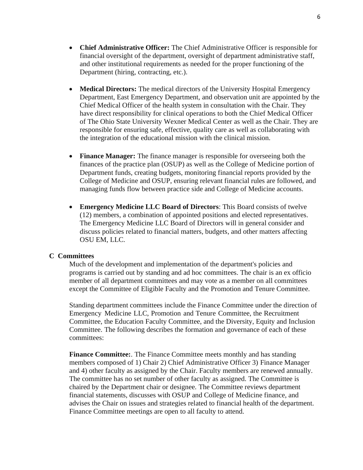- **Chief Administrative Officer:** The Chief Administrative Officer is responsible for financial oversight of the department, oversight of department administrative staff, and other institutional requirements as needed for the proper functioning of the Department (hiring, contracting, etc.).
- **Medical Directors:** The medical directors of the University Hospital Emergency Department, East Emergency Department, and observation unit are appointed by the Chief Medical Officer of the health system in consultation with the Chair. They have direct responsibility for clinical operations to both the Chief Medical Officer of The Ohio State University Wexner Medical Center as well as the Chair. They are responsible for ensuring safe, effective, quality care as well as collaborating with the integration of the educational mission with the clinical mission.
- **Finance Manager:** The finance manager is responsible for overseeing both the finances of the practice plan (OSUP) as well as the College of Medicine portion of Department funds, creating budgets, monitoring financial reports provided by the College of Medicine and OSUP, ensuring relevant financial rules are followed, and managing funds flow between practice side and College of Medicine accounts.
- **Emergency Medicine LLC Board of Directors**: This Board consists of twelve (12) members, a combination of appointed positions and elected representatives. The Emergency Medicine LLC Board of Directors will in general consider and discuss policies related to financial matters, budgets, and other matters affecting OSU EM, LLC.

#### **C Committees**

Much of the development and implementation of the department's policies and programs is carried out by standing and ad hoc committees. The chair is an ex officio member of all department committees and may vote as a member on all committees except the Committee of Eligible Faculty and the Promotion and Tenure Committee.

Standing department committees include the Finance Committee under the direction of Emergency Medicine LLC, Promotion and Tenure Committee, the Recruitment Committee, the Education Faculty Committee, and the Diversity, Equity and Inclusion Committee. The following describes the formation and governance of each of these committees:

**Finance Committee:**. The Finance Committee meets monthly and has standing members composed of 1) Chair 2) Chief Administrative Officer 3) Finance Manager and 4) other faculty as assigned by the Chair. Faculty members are renewed annually. The committee has no set number of other faculty as assigned. The Committee is chaired by the Department chair or designee. The Committee reviews department financial statements, discusses with OSUP and College of Medicine finance, and advises the Chair on issues and strategies related to financial health of the department. Finance Committee meetings are open to all faculty to attend.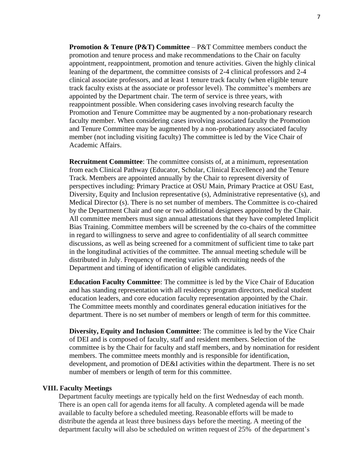**Promotion & Tenure (P&T) Committee** – P&T Committee members conduct the promotion and tenure process and make recommendations to the Chair on faculty appointment, reappointment, promotion and tenure activities. Given the highly clinical leaning of the department, the committee consists of 2-4 clinical professors and 2-4 clinical associate professors, and at least 1 tenure track faculty (when eligible tenure track faculty exists at the associate or professor level). The committee's members are appointed by the Department chair. The term of service is three years, with reappointment possible. When considering cases involving research faculty the Promotion and Tenure Committee may be augmented by a non-probationary research faculty member. When considering cases involving associated faculty the Promotion and Tenure Committee may be augmented by a non-probationary associated faculty member (not including visiting faculty) The committee is led by the Vice Chair of Academic Affairs.

**Recruitment Committee**: The committee consists of, at a minimum, representation from each Clinical Pathway (Educator, Scholar, Clinical Excellence) and the Tenure Track. Members are appointed annually by the Chair to represent diversity of perspectives including: Primary Practice at OSU Main, Primary Practice at OSU East, Diversity, Equity and Inclusion representative (s), Administrative representative (s), and Medical Director (s). There is no set number of members. The Committee is co-chaired by the Department Chair and one or two additional designees appointed by the Chair. All committee members must sign annual attestations that they have completed Implicit Bias Training. Committee members will be screened by the co-chairs of the committee in regard to willingness to serve and agree to confidentiality of all search committee discussions, as well as being screened for a commitment of sufficient time to take part in the longitudinal activities of the committee. The annual meeting schedule will be distributed in July. Frequency of meeting varies with recruiting needs of the Department and timing of identification of eligible candidates.

**Education Faculty Committee**: The committee is led by the Vice Chair of Education and has standing representation with all residency program directors, medical student education leaders, and core education faculty representation appointed by the Chair. The Committee meets monthly and coordinates general education initiatives for the department. There is no set number of members or length of term for this committee.

**Diversity, Equity and Inclusion Committee**: The committee is led by the Vice Chair of DEI and is composed of faculty, staff and resident members. Selection of the committee is by the Chair for faculty and staff members, and by nomination for resident members. The committee meets monthly and is responsible for identification, development, and promotion of DE&I activities within the department. There is no set number of members or length of term for this committee.

#### **VIII. Faculty Meetings**

Department faculty meetings are typically held on the first Wednesday of each month. There is an open call for agenda items for all faculty. A completed agenda will be made available to faculty before a scheduled meeting. Reasonable efforts will be made to distribute the agenda at least three business days before the meeting. A meeting of the department faculty will also be scheduled on written request of 25% of the department's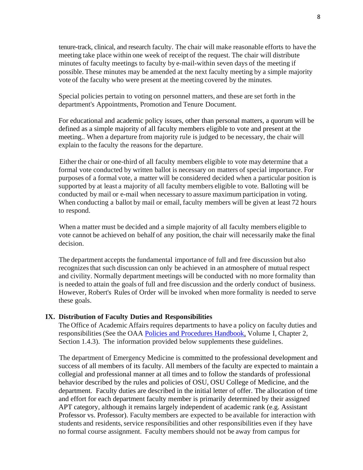tenure-track, clinical, and research faculty. The chair will make reasonable efforts to have the meeting take place within one week of receipt of the request. The chair will distribute minutes of faculty meetings to faculty by e-mail-within seven days of the meeting if possible. These minutes may be amended at the next faculty meeting by a simple majority vote of the faculty who were present at the meeting covered by the minutes.

Special policies pertain to voting on personnel matters, and these are set forth in the department's Appointments, Promotion and Tenure Document.

For educational and academic policy issues, other than personal matters, a quorum will be defined as a simple majority of all faculty members eligible to vote and present at the meeting.. When a departure from majority rule is judged to be necessary, the chair will explain to the faculty the reasons for the departure.

Either the chair or one-third of all faculty members eligible to vote may determine that a formal vote conducted by written ballot is necessary on matters of special importance. For purposes of a formal vote, a matter will be considered decided when a particular position is supported by at least a majority of all faculty members eligible to vote. Balloting will be conducted by mail or e-mail when necessary to assure maximum participation in voting. When conducting a ballot by mail or email, faculty members will be given at least 72 hours to respond.

When a matter must be decided and a simple majority of all faculty members eligible to vote cannot be achieved on behalf of any position, the chair will necessarily make the final decision.

The department accepts the fundamental importance of full and free discussion but also recognizesthat such discussion can only be achieved in an atmosphere of mutual respect and civility. Normally department meetings will be conducted with no more formality than is needed to attain the goals of full and free discussion and the orderly conduct of business. However, Robert's Rules of Order will be invoked when more formality is needed to serve these goals.

#### **IX. Distribution of Faculty Duties and Responsibilities**

The Office of Academic Affairs requires departments to have a policy on faculty duties and responsibilities (See the OAA [Policies and Procedures Handbook,](http://oaa.osu.edu/policiesprocedureshandbook.html) Volume I, Chapter 2, Section 1.4.3). The information provided below supplements these guidelines.

The department of Emergency Medicine is committed to the professional development and success of all members of its faculty. All members of the faculty are expected to maintain a collegial and professional manner at all times and to follow the standards of professional behavior described by the rules and policies of OSU, OSU College of Medicine, and the department. Faculty duties are described in the initial letter of offer. The allocation of time and effort for each department faculty member is primarily determined by their assigned APT category, although it remains largely independent of academic rank (e.g. Assistant Professor vs. Professor). Faculty members are expected to be available for interaction with students and residents, service responsibilities and other responsibilities even if they have no formal course assignment. Faculty members should not be away from campus for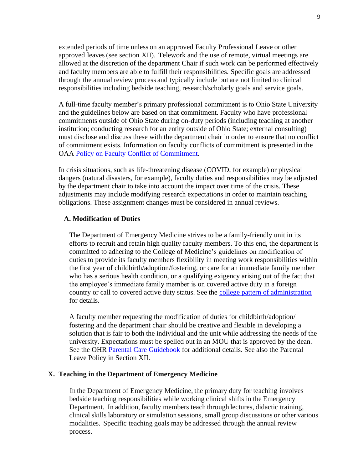extended periods of time unless on an approved Faculty Professional Leave or other approved leaves (see section XII). Telework and the use of remote, virtual meetings are allowed at the discretion of the department Chair if such work can be performed effectively and faculty members are able to fulfill their responsibilities. Specific goals are addressed through the annual review process and typically include but are not limited to clinical responsibilities including bedside teaching, research/scholarly goals and service goals.

A full-time faculty member's primary professional commitment is to Ohio State University and the guidelines below are based on that commitment. Faculty who have professional commitments outside of Ohio State during on-duty periods (including teaching at another institution; conducting research for an entity outside of Ohio State; external consulting) must disclose and discuss these with the department chair in order to ensure that no conflict of commitment exists. Information on faculty conflicts of commitment is presented in the OAA [Policy on Faculty Conflict of Commitment.](https://oaa.osu.edu/assets/files/documents/conflictofcommitment.pdf)

In crisis situations, such as life-threatening disease (COVID, for example) or physical dangers (natural disasters, for example), faculty duties and responsibilities may be adjusted by the department chair to take into account the impact over time of the crisis. These adjustments may include modifying research expectations in order to maintain teaching obligations. These assignment changes must be considered in annual reviews.

# **A. Modification of Duties**

The Department of Emergency Medicine strives to be a family-friendly unit in its efforts to recruit and retain high quality faculty members. To this end, the department is committed to adhering to the College of Medicine's guidelines on modification of duties to provide its faculty members flexibility in meeting work responsibilities within the first year of childbirth/adoption/fostering, or care for an immediate family member who has a serious health condition, or a qualifying exigency arising out of the fact that the employee's immediate family member is on covered active duty in a foreign country or call to covered active duty status. See the [college pattern of administration](https://oaa.osu.edu/appointments-reappointments-promotion-and-tenure) for details.

A faculty member requesting the modification of duties for childbirth/adoption/ fostering and the department chair should be creative and flexible in developing a solution that is fair to both the individual and the unit while addressing the needs of the university. Expectations must be spelled out in an MOU that is approved by the dean. See the OHR [Parental Care Guidebook](https://hr.osu.edu/wp-content/uploads/parental-care-guidebook.pdf) for additional details. See also the Parental Leave Policy in Section XII.

## **X. Teaching in the Department of Emergency Medicine**

In the Department of Emergency Medicine, the primary duty for teaching involves bedside teaching responsibilities while working clinical shifts in the Emergency Department. In addition, faculty members teach through lectures, didactic training, clinical skills laboratory or simulation sessions, small group discussions or other various modalities. Specific teaching goals may be addressed through the annual review process.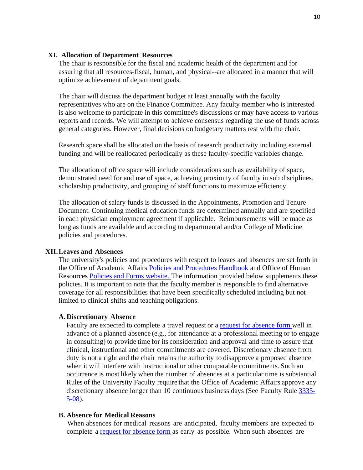#### **XI. Allocation of Department Resources**

The chair is responsible for the fiscal and academic health of the department and for assuring that all resources-fiscal, human, and physical--are allocated in a manner that will optimize achievement of department goals.

The chair will discuss the department budget at least annually with the faculty representatives who are on the Finance Committee. Any faculty member who is interested is also welcome to participate in this committee's discussions or may have access to various reports and records. We will attempt to achieve consensus regarding the use of funds across general categories. However, final decisions on budgetary matters rest with the chair.

Research space shall be allocated on the basis of research productivity including external funding and will be reallocated periodically as these faculty-specific variables change.

The allocation of office space will include considerations such as availability of space, demonstrated need for and use of space, achieving proximity of faculty in sub disciplines, scholarship productivity, and grouping of staff functions to maximize efficiency.

The allocation of salary funds is discussed in the Appointments, Promotion and Tenure Document. Continuing medical education funds are determined annually and are specified in each physician employment agreement if applicable. Reimbursements will be made as long as funds are available and according to departmental and/or College of Medicine policies and procedures.

## **XII.Leaves and Absences**

The university's policies and procedures with respect to leaves and absences are set forth in the Office of Academic Affairs [Policies and Procedures Handbook](http://oaa.osu.edu/policiesprocedureshandbook.html) and Office of Human Resources [Policies and Forms website.](https://hr.osu.edu/policies-forms) The information provided below supplements these policies. It is important to note that the faculty member is responsible to find alternative coverage for all responsibilities that have been specifically scheduled including but not limited to clinical shifts and teaching obligations.

#### **A. Discretionary Absence**

Faculty are expected to complete a travel request or a [request for absence form](https://workday.osu.edu/) well in advance of a planned absence (e.g., for attendance at a professional meeting or to engage in consulting) to provide time for its consideration and approval and time to assure that clinical, instructional and other commitments are covered. Discretionary absence from duty is not a right and the chair retains the authority to disapprove a proposed absence when it will interfere with instructional or other comparable commitments. Such an occurrence is most likely when the number of absences at a particular time is substantial. Rules of the University Faculty require that the Office of Academic Affairs approve any discretionary absence longer than 10 continuous business days (See Faculty Rule [3335-](https://trustees.osu.edu/rules/university-rules/chapter-3335-5-faculty-governance-and-committees.html) [5-08\)](https://trustees.osu.edu/rules/university-rules/chapter-3335-5-faculty-governance-and-committees.html).

## **B. Absence for Medical Reasons**

When absences for medical reasons are anticipated, faculty members are expected to complete a [request for absence form](https://workday.osu.edu/) as early as possible. When such absences are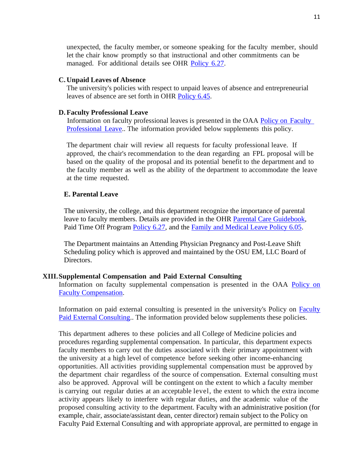unexpected, the faculty member, or someone speaking for the faculty member, should let the chair know promptly so that instructional and other commitments can be managed. For additional details see OHR [Policy](https://hr.osu.edu/public/documents/policy/policy627.pdf) 6.27.

#### **C. Unpaid Leaves of Absence**

The university's policies with respect to unpaid leaves of absence and entrepreneurial leaves of absence are set forth in OHR [Policy 6.45.](https://hr.osu.edu/public/documents/policy/policy645.pdf)

#### **D.Faculty Professional Leave**

Information on faculty professional leaves is presented in the OAA [Policy on](https://oaa.osu.edu/assets/files/documents/facultyprofessionalleave.pdf) Faculty [Professional](https://oaa.osu.edu/assets/files/documents/facultyprofessionalleave.pdf) Leave.. The information provided below supplements this policy.

The department chair will review all requests for faculty professional leave. If approved, the chair's recommendation to the dean regarding an FPL proposal will be based on the quality of the proposal and its potential benefit to the department and to the faculty member as well as the ability of the department to accommodate the leave at the time requested.

#### **E. Parental Leave**

The university, the college, and this department recognize the importance of parental leave to faculty members. Details are provided in the OHR [Parental Care Guidebook,](https://hr.osu.edu/wp-content/uploads/parental-care-guidebook.pdf) Paid Time Off Program [Policy 6.27,](https://hr.osu.edu/wp-content/uploads/policy627.pdf) and the [Family and Medical Leave Policy 6.05.](https://hr.osu.edu/wp-content/uploads/policy605.pdf)

The Department maintains an Attending Physician Pregnancy and Post-Leave Shift Scheduling policy which is approved and maintained by the OSU EM, LLC Board of Directors.

#### **XIII.Supplemental Compensation and Paid External Consulting**

Information on faculty supplemental compensation is presented in the OAA Policy on Faculty [Compensation.](https://oaa.osu.edu/assets/files/documents/facultycompensation.pdf)

Information on paid external consulting is presented in the university's Policy on [Faculty](https://oaa.osu.edu/assets/files/documents/paidexternalconsulting.pdf)  [Paid External Consulting.](https://oaa.osu.edu/assets/files/documents/paidexternalconsulting.pdf). The information provided below supplements these policies.

This department adheres to these policies and all College of Medicine policies and procedures regarding supplemental compensation. In particular, this department expects faculty members to carry out the duties associated with their primary appointment with the university at a high level of competence before seeking other income-enhancing opportunities. All activities providing supplemental compensation must be approved by the department chair regardless of the source of compensation. External consulting must also be approved. Approval will be contingent on the extent to which a faculty member is carrying out regular duties at an acceptable level, the extent to which the extra income activity appears likely to interfere with regular duties, and the academic value of the proposed consulting activity to the department. Faculty with an administrative position (for example, chair, associate/assistant dean, center director) remain subject to the Policy on Faculty Paid External Consulting and with appropriate approval, are permitted to engage in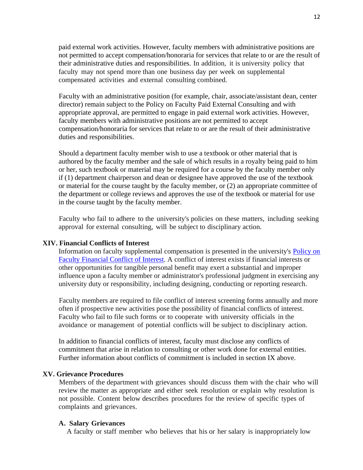paid external work activities. However, faculty members with administrative positions are not permitted to accept compensation/honoraria for services that relate to or are the result of their administrative duties and responsibilities. In addition, it is university policy that faculty may not spend more than one business day per week on supplemental compensated activities and external consulting combined.

Faculty with an administrative position (for example, chair, associate/assistant dean, center director) remain subject to the Policy on Faculty Paid External Consulting and with appropriate approval, are permitted to engage in paid external work activities. However, faculty members with administrative positions are not permitted to accept compensation/honoraria for services that relate to or are the result of their administrative duties and responsibilities.

Should a department faculty member wish to use a textbook or other material that is authored by the faculty member and the sale of which results in a royalty being paid to him or her, such textbook or material may be required for a course by the faculty member only if (1) department chairperson and dean or designee have approved the use of the textbook or material for the course taught by the faculty member, or (2) an appropriate committee of the department or college reviews and approves the use of the textbook or material for use in the course taught by the faculty member.

Faculty who fail to adhere to the university's policies on these matters, including seeking approval for external consulting, will be subject to disciplinary action.

## **XIV. Financial Conflicts of Interest**

Information on faculty supplemental compensation is presented in the university's [Policy on](https://oaa.osu.edu/sites/default/files/uploads/policies/Faculty-Financial-Conflict-of-Interest.pdf)  [Faculty Financial Conflict of Interest.](https://oaa.osu.edu/sites/default/files/uploads/policies/Faculty-Financial-Conflict-of-Interest.pdf) A conflict of interest exists if financial interests or other opportunities for tangible personal benefit may exert a substantial and improper influence upon a faculty member or administrator's professional judgment in exercising any university duty or responsibility, including designing, conducting or reporting research.

Faculty members are required to file conflict of interest screening forms annually and more often if prospective new activities pose the possibility of financial conflicts of interest. Faculty who fail to file such forms or to cooperate with university officials in the avoidance or management of potential conflicts will be subject to disciplinary action.

In addition to financial conflicts of interest, faculty must disclose any conflicts of commitment that arise in relation to consulting or other work done for external entities. Further information about conflicts of commitment is included in section IX above.

# **XV. Grievance Procedures**

Members of the department with grievances should discuss them with the chair who will review the matter as appropriate and either seek resolution or explain why resolution is not possible. Content below describes procedures for the review of specific types of complaints and grievances.

## **A. Salary Grievances**

A faculty or staff member who believes that his or her salary is inappropriately low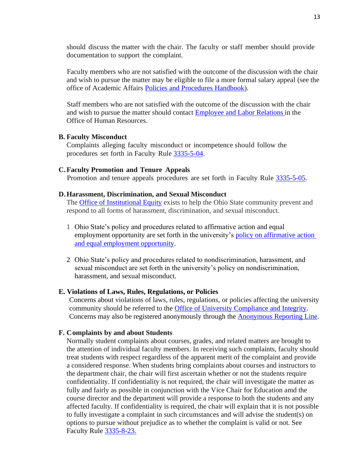should discuss the matter with the chair. The faculty or staff member should provide documentation to support the complaint.

Faculty members who are not satisfied with the outcome of the discussion with the chair and wish to pursue the matter may be eligible to file a more formal salary appeal (see the office of Academic Affairs [Policies and Procedures Handbook\)](https://oaa.osu.edu/policies-and-procedures-handbook).

Staff members who are not satisfied with the outcome of the discussion with the chair and wish to pursue the matter should contact [Employee and Labor Relations](https://hr.osu.edu/services/elr/) in the Office of Human Resources.

#### **B. Faculty Misconduct**

Complaints alleging faculty misconduct or incompetence should follow the procedures set forth in Faculty Rule [3335-5-04.](https://trustees.osu.edu/rules/university-rules/chapter-3335-5-faculty-governance-and-committees.html)

## **C.Faculty Promotion and Tenure Appeals**

Promotion and tenure appeals procedures are set forth in Faculty Rule [3335-5-05.](https://trustees.osu.edu/rules/university-rules/chapter-3335-5-faculty-governance-and-committees.html)

#### **D.Harassment, Discrimination, and Sexual Misconduct**

The [Office of Institutional Equity](https://equity.osu.edu/) exists to help the Ohio State community prevent and respond to all forms of harassment, discrimination, and sexual misconduct.

- 1 Ohio State's policy and procedures related to affirmative action and equal employment opportunity are set forth in the university's [policy on affirmative action](https://policies.osu.edu/assets/policies/Policy-AAEEO.pdf)  [and equal employment opportunity.](https://policies.osu.edu/assets/policies/Policy-AAEEO.pdf)
- 2 Ohio State's policy and procedures related to nondiscrimination, harassment, and sexual misconduct are set forth in the university's policy on nondiscrimination, harassment, and sexual misconduct.

## **E. Violations of Laws, Rules, Regulations, or Policies**

Concerns about violations of laws, rules, regulations, or policies affecting the university community should be referred to the [Office of University Compliance and Integrity.](https://compliance.osu.edu/concern-reporting.html) Concerns may also be registered anonymously through the [Anonymous Reporting Line.](https://secure.ethicspoint.com/domain/media/en/gui/7689/index.html)

## **F. Complaints by and about Students**

Normally student complaints about courses, grades, and related matters are brought to the attention of individual faculty members. In receiving such complaints, faculty should treat students with respect regardless of the apparent merit of the complaint and provide a considered response. When students bring complaints about courses and instructors to the department chair, the chair will first ascertain whether or not the students require confidentiality. If confidentiality is not required, the chair will investigate the matter as fully and fairly as possible in conjunction with the Vice Chair for Education amd the course director and the department will provide a response to both the students and any affected faculty. If confidentiality is required, the chair will explain that it is not possible to fully investigate a complaint in such circumstances and will advise the student(s) on options to pursue without prejudice as to whether the complaint is valid or not. See Faculty Rule [3335-8-23.](https://trustees.osu.edu/rules/university-rules/chapter-3335-8-instruction.html)